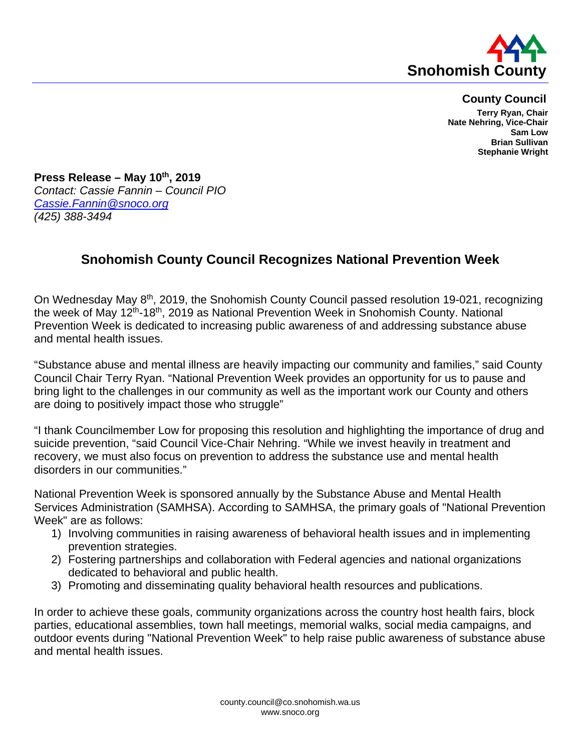

## **County Council**

**Terry Ryan, Chair Nate Nehring, Vice-Chair Sam Low Brian Sullivan Stephanie Wright**

**Press Release – May 10th, 2019** *Contact: Cassie Fannin – Council PIO [Cassie.Fannin@snoco.org](mailto:Cassie.Fannin@snoco.org) (425) 388-3494*

## **Snohomish County Council Recognizes National Prevention Week**

On Wednesday May 8<sup>th</sup>, 2019, the Snohomish County Council passed resolution 19-021, recognizing the week of May 12th-18th, 2019 as National Prevention Week in Snohomish County. National Prevention Week is dedicated to increasing public awareness of and addressing substance abuse and mental health issues.

"Substance abuse and mental illness are heavily impacting our community and families," said County Council Chair Terry Ryan. "National Prevention Week provides an opportunity for us to pause and bring light to the challenges in our community as well as the important work our County and others are doing to positively impact those who struggle"

"I thank Councilmember Low for proposing this resolution and highlighting the importance of drug and suicide prevention, "said Council Vice-Chair Nehring. "While we invest heavily in treatment and recovery, we must also focus on prevention to address the substance use and mental health disorders in our communities."

National Prevention Week is sponsored annually by the Substance Abuse and Mental Health Services Administration (SAMHSA). According to SAMHSA, the primary goals of "National Prevention Week" are as follows:

- 1) Involving communities in raising awareness of behavioral health issues and in implementing prevention strategies.
- 2) Fostering partnerships and collaboration with Federal agencies and national organizations dedicated to behavioral and public health.
- 3) Promoting and disseminating quality behavioral health resources and publications.

In order to achieve these goals, community organizations across the country host health fairs, block parties, educational assemblies, town hall meetings, memorial walks, social media campaigns, and outdoor events during "National Prevention Week" to help raise public awareness of substance abuse and mental health issues.